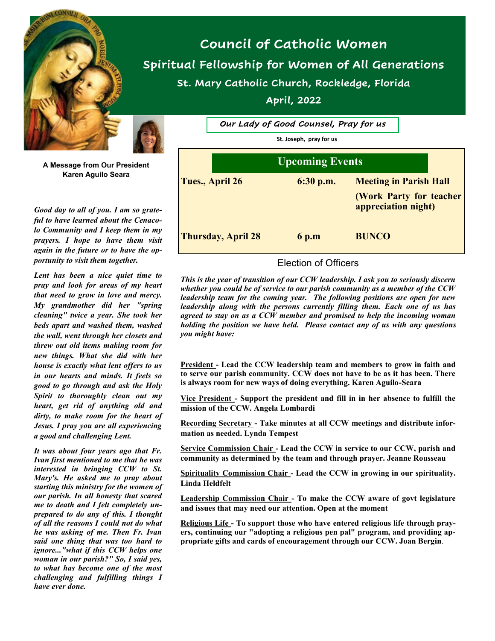



**A Message from Our President Karen Aguilo Seara**

*Good day to all of you. I am so grateful to have learned about the Cenacolo Community and I keep them in my prayers. I hope to have them visit again in the future or to have the opportunity to visit them together.*

*Lent has been a nice quiet time to pray and look for areas of my heart that need to grow in love and mercy. My grandmother did her "spring cleaning" twice a year. She took her beds apart and washed them, washed the wall, went through her closets and threw out old items making room for new things. What she did with her house is exactly what lent offers to us in our hearts and minds. It feels so good to go through and ask the Holy Spirit to thoroughly clean out my heart, get rid of anything old and dirty, to make room for the heart of Jesus. I pray you are all experiencing a good and challenging Lent.* 

*It was about four years ago that Fr. Ivan first mentioned to me that he was interested in bringing CCW to St. Mary's. He asked me to pray about starting this ministry for the women of our parish. In all honesty that scared me to death and I felt completely unprepared to do any of this. I thought of all the reasons I could not do what he was asking of me. Then Fr. Ivan said one thing that was too hard to ignore..."what if this CCW helps one woman in our parish?" So, I said yes, to what has become one of the most challenging and fulfilling things I have ever done.* 

**Council of Catholic Women Spiritual Fellowship for Women of All Generations St. Mary Catholic Church, Rockledge, Florida April, 2022**

| Our Lady of Good Counsel, Pray for us |             |                                                |  |
|---------------------------------------|-------------|------------------------------------------------|--|
| St. Joseph, pray for us               |             |                                                |  |
| <b>Upcoming Events</b>                |             |                                                |  |
| Tues., April 26                       | $6:30$ p.m. | <b>Meeting in Parish Hall</b>                  |  |
|                                       |             | (Work Party for teacher<br>appreciation night) |  |
| <b>Thursday, April 28</b>             | 6 p.m       | <b>BUNCO</b>                                   |  |

### Election of Officers

*This is the year of transition of our CCW leadership. I ask you to seriously discern whether you could be of service to our parish community as a member of the CCW leadership team for the coming year. The following positions are open for new leadership along with the persons currently filling them. Each one of us has agreed to stay on as a CCW member and promised to help the incoming woman holding the position we have held. Please contact any of us with any questions you might have:*

**President - Lead the CCW leadership team and members to grow in faith and to serve our parish community. CCW does not have to be as it has been. There is always room for new ways of doing everything. Karen Aguilo-Seara**

**Vice President - Support the president and fill in in her absence to fulfill the mission of the CCW. Angela Lombardi**

**Recording Secretary - Take minutes at all CCW meetings and distribute information as needed. Lynda Tempest**

**Service Commission Chair - Lead the CCW in service to our CCW, parish and community as determined by the team and through prayer. Jeanne Rousseau**

**Spirituality Commission Chair - Lead the CCW in growing in our spirituality. Linda Heldfelt**

**Leadership Commission Chair - To make the CCW aware of govt legislature and issues that may need our attention. Open at the moment**

**Religious Life - To support those who have entered religious life through prayers, continuing our "adopting a religious pen pal" program, and providing appropriate gifts and cards of encouragement through our CCW. Joan Bergin**.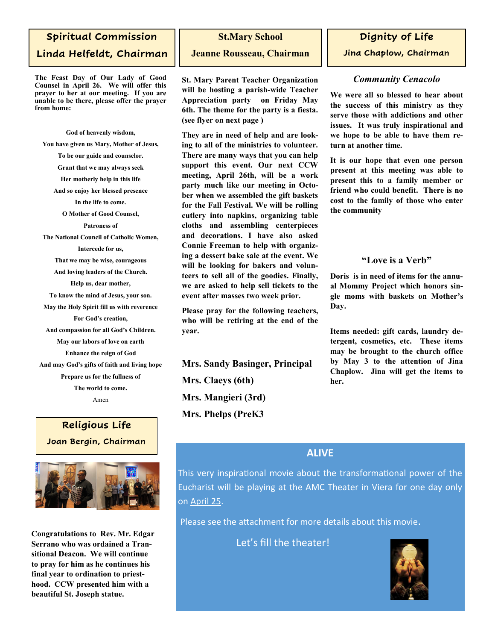# **Spiritual Commission Linda Helfeldt, Chairman**

**The Feast Day of Our Lady of Good Counsel in April 26. We will offer this prayer to her at our meeting. If you are unable to be there, please offer the prayer from home:**

**God of heavenly wisdom, You have given us Mary, Mother of Jesus, To be our guide and counselor. Grant that we may always seek Her motherly help in this life And so enjoy her blessed presence In the life to come. O Mother of Good Counsel, Patroness of The National Council of Catholic Women, Intercede for us, That we may be wise, courageous And loving leaders of the Church. Help us, dear mother, To know the mind of Jesus, your son. May the Holy Spirit fill us with reverence For God's creation, And compassion for all God's Children. May our labors of love on earth Enhance the reign of God And may God's gifts of faith and living hope Prepare us for the fullness of The world to come.** Amen

# **Religious Life Joan Bergin, Chairman**



**Congratulations to Rev. Mr. Edgar Serrano who was ordained a Transitional Deacon. We will continue to pray for him as he continues his final year to ordination to priesthood. CCW presented him with a beautiful St. Joseph statue.**

#### **St.Mary School**

#### **Jeanne Rousseau, Chairman**

**St. Mary Parent Teacher Organization will be hosting a parish-wide Teacher Appreciation party on Friday May 6th. The theme for the party is a fiesta. (see flyer on next page )** 

**They are in need of help and are looking to all of the ministries to volunteer. There are many ways that you can help support this event. Our next CCW meeting, April 26th, will be a work party much like our meeting in October when we assembled the gift baskets for the Fall Festival. We will be rolling cutlery into napkins, organizing table cloths and assembling centerpieces and decorations. I have also asked Connie Freeman to help with organizing a dessert bake sale at the event. We will be looking for bakers and volunteers to sell all of the goodies. Finally, we are asked to help sell tickets to the event after masses two week prior.**

**Please pray for the following teachers, who will be retiring at the end of the year.** 

**Mrs. Sandy Basinger, Principal Mrs. Claeys (6th) Mrs. Mangieri (3rd) Mrs. Phelps (PreK3**

## **Dignity of Life**

**Jina Chaplow, Chairman**

### *Community Cenacolo*

**We were all so blessed to hear about the success of this ministry as they serve those with addictions and other issues. It was truly inspirational and we hope to be able to have them return at another time.** 

**It is our hope that even one person present at this meeting was able to present this to a family member or friend who could benefit. There is no cost to the family of those who enter the community**

## **"Love is a Verb"**

**Doris is in need of items for the annual Mommy Project which honors single moms with baskets on Mother's Day.**

**Items needed: gift cards, laundry detergent, cosmetics, etc. These items may be brought to the church office by May 3 to the attention of Jina Chaplow. Jina will get the items to her.**

# **ALIVE**

This very inspirational movie about the transformational power of the Eucharist will be playing at the AMC Theater in Viera for one day only on April 25.

Please see the attachment for more details about this movie.

Let's fill the theater!

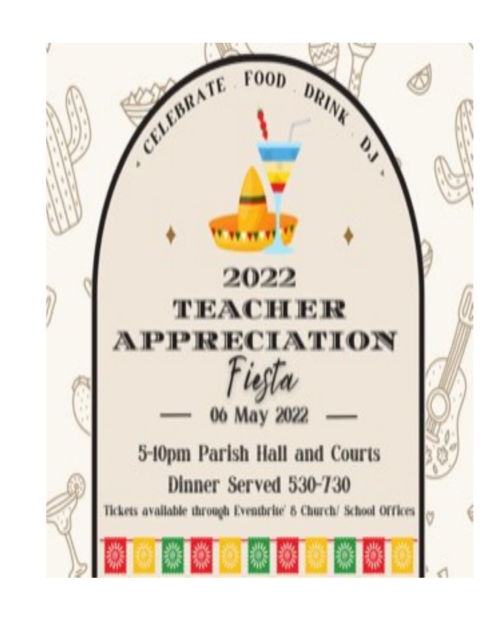